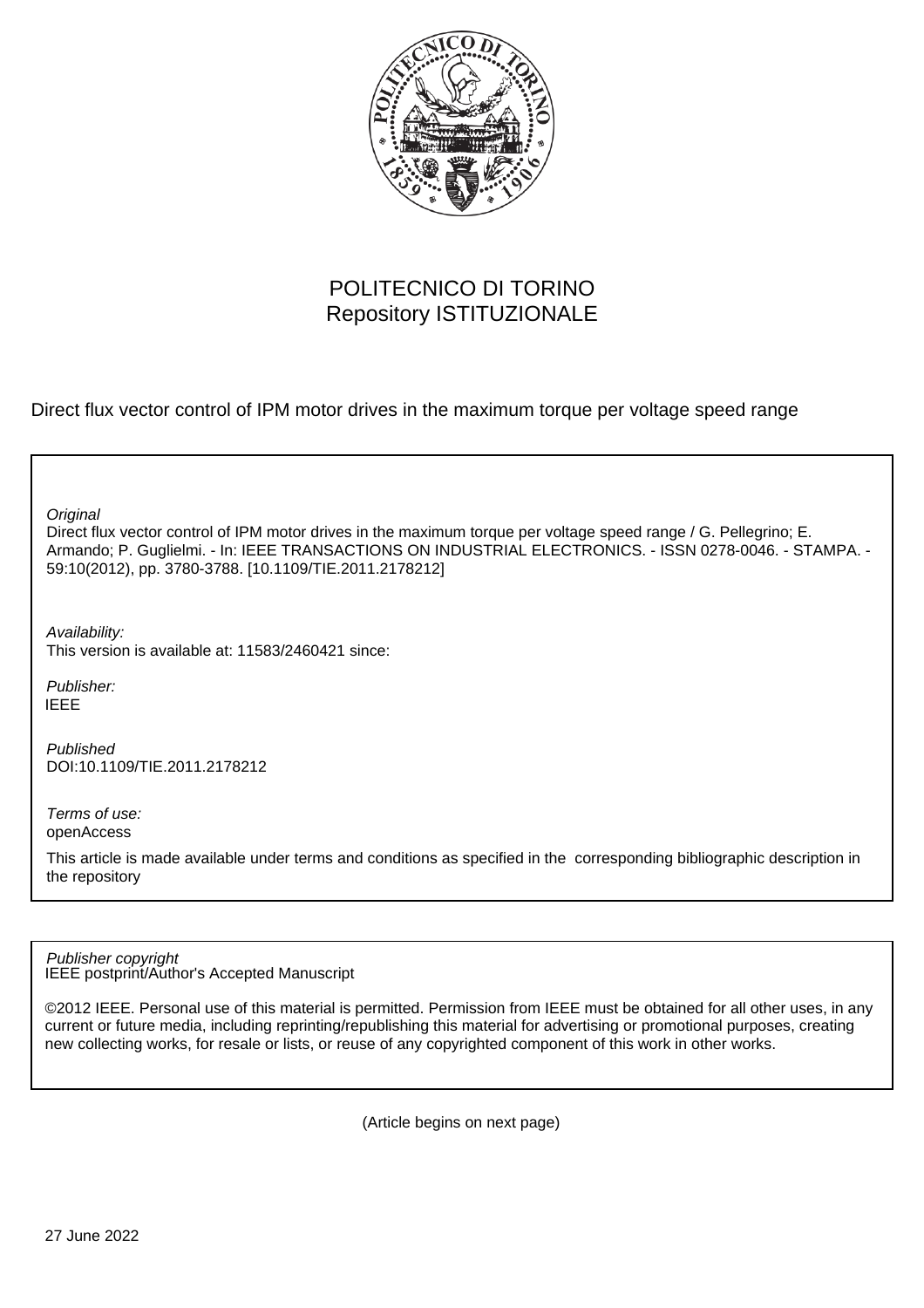

# POLITECNICO DI TORINO Repository ISTITUZIONALE

Direct flux vector control of IPM motor drives in the maximum torque per voltage speed range

**Original** 

Direct flux vector control of IPM motor drives in the maximum torque per voltage speed range / G. Pellegrino; E. Armando; P. Guglielmi. - In: IEEE TRANSACTIONS ON INDUSTRIAL ELECTRONICS. - ISSN 0278-0046. - STAMPA. - 59:10(2012), pp. 3780-3788. [10.1109/TIE.2011.2178212]

Availability: This version is available at: 11583/2460421 since:

Publisher: IEEE

Published DOI:10.1109/TIE.2011.2178212

Terms of use: openAccess

This article is made available under terms and conditions as specified in the corresponding bibliographic description in the repository

IEEE postprint/Author's Accepted Manuscript Publisher copyright

©2012 IEEE. Personal use of this material is permitted. Permission from IEEE must be obtained for all other uses, in any current or future media, including reprinting/republishing this material for advertising or promotional purposes, creating new collecting works, for resale or lists, or reuse of any copyrighted component of this work in other works.

(Article begins on next page)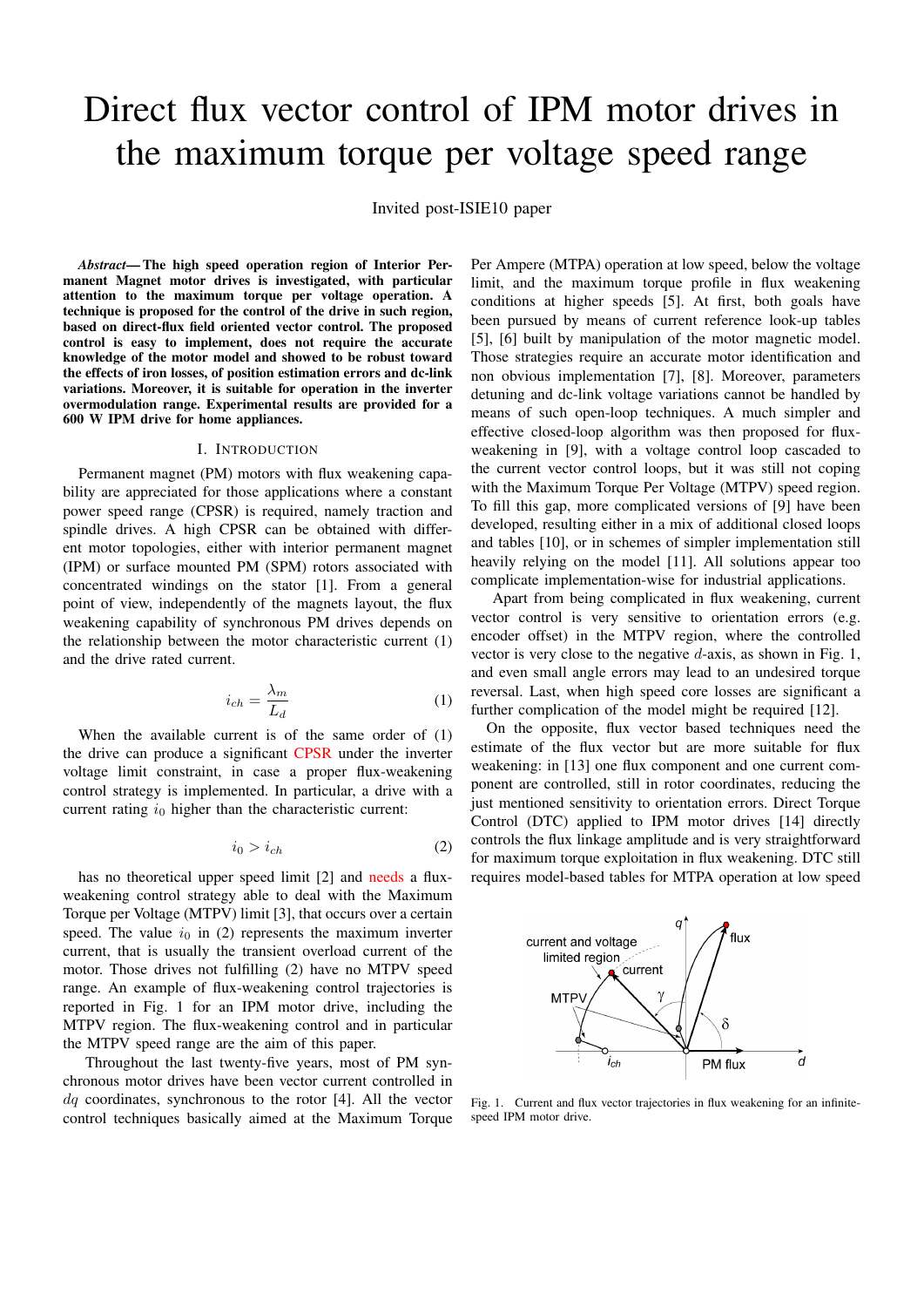# Direct flux vector control of IPM motor drives in the maximum torque per voltage speed range

Invited post-ISIE10 paper

*Abstract*— The high speed operation region of Interior Permanent Magnet motor drives is investigated, with particular attention to the maximum torque per voltage operation. A technique is proposed for the control of the drive in such region, based on direct-flux field oriented vector control. The proposed control is easy to implement, does not require the accurate knowledge of the motor model and showed to be robust toward the effects of iron losses, of position estimation errors and dc-link variations. Moreover, it is suitable for operation in the inverter overmodulation range. Experimental results are provided for a 600 W IPM drive for home appliances.

#### I. INTRODUCTION

Permanent magnet (PM) motors with flux weakening capability are appreciated for those applications where a constant power speed range (CPSR) is required, namely traction and spindle drives. A high CPSR can be obtained with different motor topologies, either with interior permanent magnet (IPM) or surface mounted PM (SPM) rotors associated with concentrated windings on the stator [1]. From a general point of view, independently of the magnets layout, the flux weakening capability of synchronous PM drives depends on the relationship between the motor characteristic current (1) and the drive rated current.

$$
i_{ch} = \frac{\lambda_m}{L_d} \tag{1}
$$

When the available current is of the same order of (1) the drive can produce a significant CPSR under the inverter voltage limit constraint, in case a proper flux-weakening control strategy is implemented. In particular, a drive with a current rating  $i_0$  higher than the characteristic current:

$$
i_0 > i_{ch} \tag{2}
$$

has no theoretical upper speed limit [2] and needs a fluxweakening control strategy able to deal with the Maximum Torque per Voltage (MTPV) limit [3], that occurs over a certain speed. The value  $i_0$  in (2) represents the maximum inverter current, that is usually the transient overload current of the motor. Those drives not fulfilling (2) have no MTPV speed range. An example of flux-weakening control trajectories is reported in Fig. 1 for an IPM motor drive, including the MTPV region. The flux-weakening control and in particular the MTPV speed range are the aim of this paper.

Throughout the last twenty-five years, most of PM synchronous motor drives have been vector current controlled in  $dq$  coordinates, synchronous to the rotor [4]. All the vector control techniques basically aimed at the Maximum Torque Per Ampere (MTPA) operation at low speed, below the voltage limit, and the maximum torque profile in flux weakening conditions at higher speeds [5]. At first, both goals have been pursued by means of current reference look-up tables [5], [6] built by manipulation of the motor magnetic model. Those strategies require an accurate motor identification and non obvious implementation [7], [8]. Moreover, parameters detuning and dc-link voltage variations cannot be handled by means of such open-loop techniques. A much simpler and effective closed-loop algorithm was then proposed for fluxweakening in [9], with a voltage control loop cascaded to the current vector control loops, but it was still not coping with the Maximum Torque Per Voltage (MTPV) speed region. To fill this gap, more complicated versions of [9] have been developed, resulting either in a mix of additional closed loops and tables [10], or in schemes of simpler implementation still heavily relying on the model [11]. All solutions appear too complicate implementation-wise for industrial applications.

Apart from being complicated in flux weakening, current vector control is very sensitive to orientation errors (e.g. encoder offset) in the MTPV region, where the controlled vector is very close to the negative  $d$ -axis, as shown in Fig. 1, and even small angle errors may lead to an undesired torque reversal. Last, when high speed core losses are significant a further complication of the model might be required [12].

On the opposite, flux vector based techniques need the estimate of the flux vector but are more suitable for flux weakening: in [13] one flux component and one current component are controlled, still in rotor coordinates, reducing the just mentioned sensitivity to orientation errors. Direct Torque Control (DTC) applied to IPM motor drives [14] directly controls the flux linkage amplitude and is very straightforward for maximum torque exploitation in flux weakening. DTC still requires model-based tables for MTPA operation at low speed



Fig. 1. Current and flux vector trajectories in flux weakening for an infinitespeed IPM motor drive.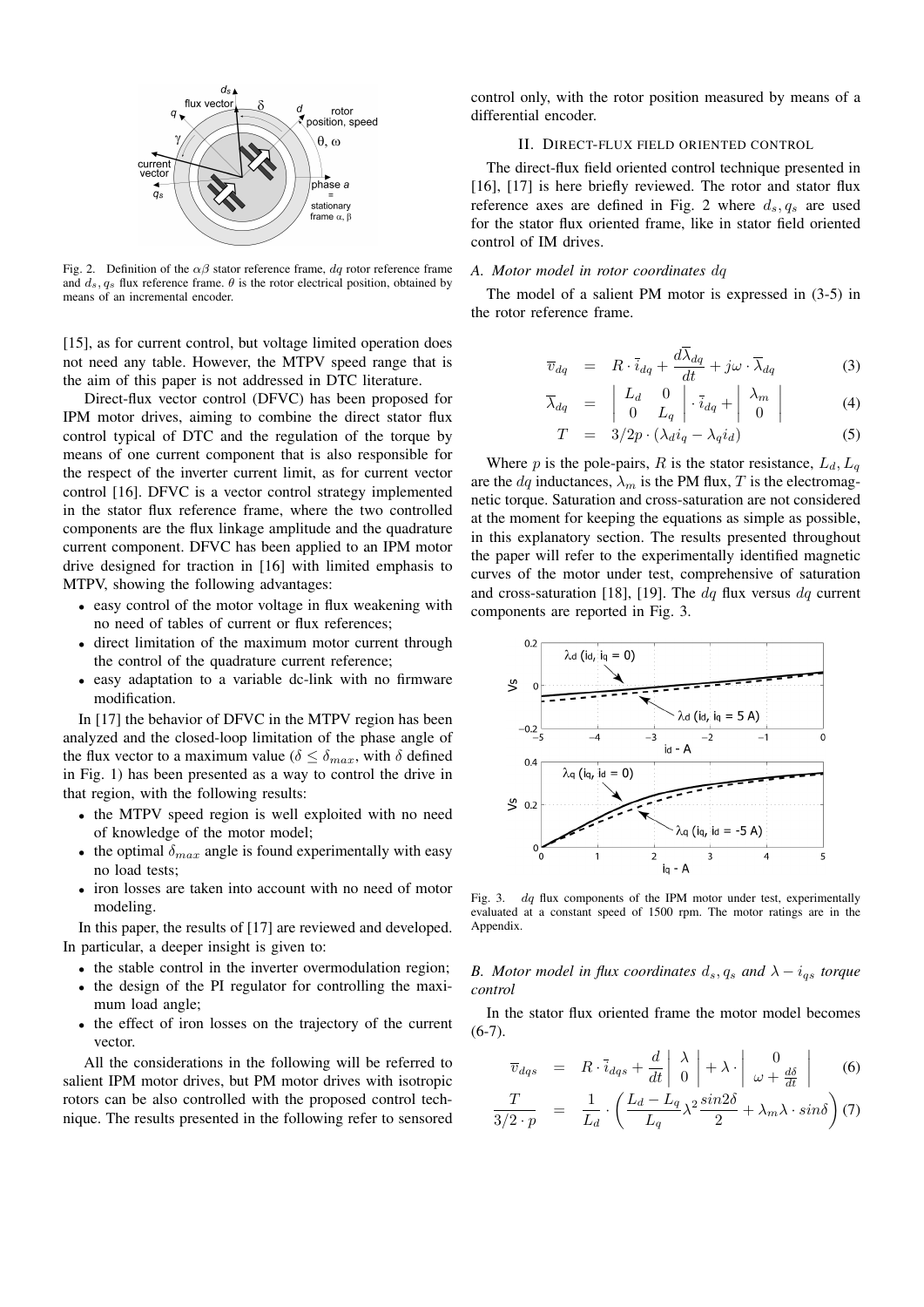

Fig. 2. Definition of the  $\alpha\beta$  stator reference frame, dq rotor reference frame and  $d_s$ ,  $q_s$  flux reference frame.  $\theta$  is the rotor electrical position, obtained by means of an incremental encoder.

[15], as for current control, but voltage limited operation does not need any table. However, the MTPV speed range that is the aim of this paper is not addressed in DTC literature.

Direct-flux vector control (DFVC) has been proposed for IPM motor drives, aiming to combine the direct stator flux control typical of DTC and the regulation of the torque by means of one current component that is also responsible for the respect of the inverter current limit, as for current vector control [16]. DFVC is a vector control strategy implemented in the stator flux reference frame, where the two controlled components are the flux linkage amplitude and the quadrature current component. DFVC has been applied to an IPM motor drive designed for traction in [16] with limited emphasis to MTPV, showing the following advantages:

- easy control of the motor voltage in flux weakening with no need of tables of current or flux references;
- direct limitation of the maximum motor current through the control of the quadrature current reference;
- easy adaptation to a variable dc-link with no firmware modification.

In [17] the behavior of DFVC in the MTPV region has been analyzed and the closed-loop limitation of the phase angle of the flux vector to a maximum value ( $\delta \leq \delta_{max}$ , with  $\delta$  defined in Fig. 1) has been presented as a way to control the drive in that region, with the following results:

- the MTPV speed region is well exploited with no need of knowledge of the motor model;
- the optimal  $\delta_{max}$  angle is found experimentally with easy no load tests;
- iron losses are taken into account with no need of motor modeling.

In this paper, the results of [17] are reviewed and developed. In particular, a deeper insight is given to:

- the stable control in the inverter overmodulation region;
- the design of the PI regulator for controlling the maximum load angle;
- the effect of iron losses on the trajectory of the current vector.

All the considerations in the following will be referred to salient IPM motor drives, but PM motor drives with isotropic rotors can be also controlled with the proposed control technique. The results presented in the following refer to sensored

control only, with the rotor position measured by means of a differential encoder.

# II. DIRECT-FLUX FIELD ORIENTED CONTROL

The direct-flux field oriented control technique presented in [16], [17] is here briefly reviewed. The rotor and stator flux reference axes are defined in Fig. 2 where  $d_s, q_s$  are used for the stator flux oriented frame, like in stator field oriented control of IM drives.

#### *A. Motor model in rotor coordinates* dq

The model of a salient PM motor is expressed in (3-5) in the rotor reference frame.

$$
\overline{v}_{dq} = R \cdot \overline{i}_{dq} + \frac{d\overline{\lambda}_{dq}}{dt} + j\omega \cdot \overline{\lambda}_{dq}
$$
 (3)

$$
\overline{\lambda}_{dq} = \begin{vmatrix} L_d & 0 \\ 0 & L_q \end{vmatrix} \cdot \overline{i}_{dq} + \begin{vmatrix} \lambda_m \\ 0 \end{vmatrix}
$$
 (4)

$$
T = 3/2p \cdot (\lambda_d i_q - \lambda_q i_d) \tag{5}
$$

Where p is the pole-pairs, R is the stator resistance,  $L_d, L_q$ are the  $dq$  inductances,  $\lambda_m$  is the PM flux, T is the electromagnetic torque. Saturation and cross-saturation are not considered at the moment for keeping the equations as simple as possible, in this explanatory section. The results presented throughout the paper will refer to the experimentally identified magnetic curves of the motor under test, comprehensive of saturation and cross-saturation [18], [19]. The  $dq$  flux versus  $dq$  current components are reported in Fig. 3.



Fig. 3. dq flux components of the IPM motor under test, experimentally evaluated at a constant speed of 1500 rpm. The motor ratings are in the Appendix.

*B. Motor model in flux coordinates*  $d_s$ ,  $q_s$  *and*  $\lambda - i_{qs}$  *torque control*

In the stator flux oriented frame the motor model becomes  $(6-7)$ .

$$
\overline{v}_{dqs} = R \cdot \overline{i}_{dqs} + \frac{d}{dt} \left| \begin{array}{c} \lambda \\ 0 \end{array} \right| + \lambda \cdot \left| \begin{array}{c} 0 \\ \omega + \frac{d\delta}{dt} \end{array} \right| \tag{6}
$$

$$
\frac{T}{3/2 \cdot p} = \frac{1}{L_d} \cdot \left( \frac{L_d - L_q}{L_q} \lambda^2 \frac{\sin 2\delta}{2} + \lambda_m \lambda \cdot \sin \delta \right) (7)
$$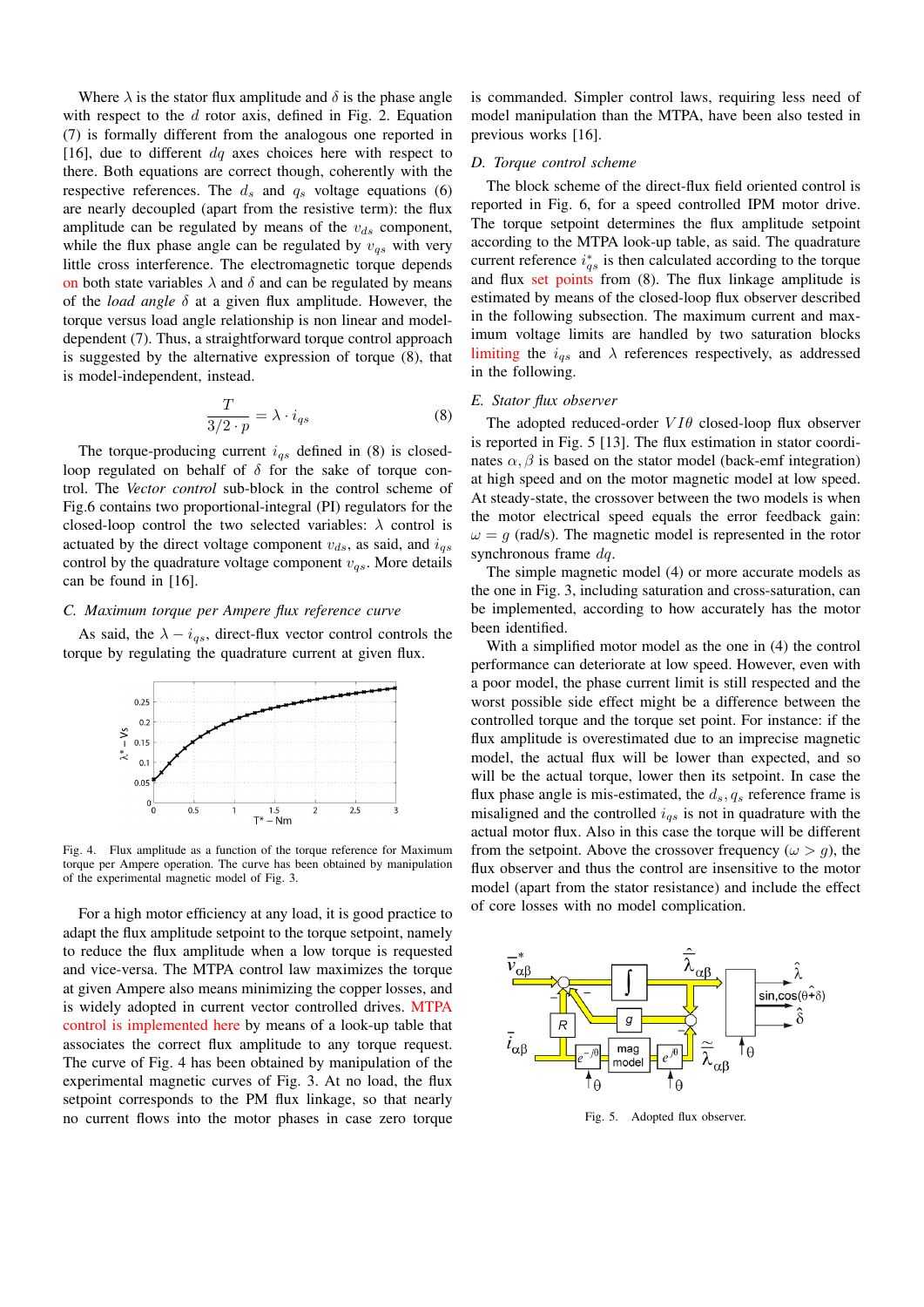Where  $\lambda$  is the stator flux amplitude and  $\delta$  is the phase angle with respect to the  $d$  rotor axis, defined in Fig. 2. Equation (7) is formally different from the analogous one reported in [16], due to different  $dq$  axes choices here with respect to there. Both equations are correct though, coherently with the respective references. The  $d_s$  and  $q_s$  voltage equations (6) are nearly decoupled (apart from the resistive term): the flux amplitude can be regulated by means of the  $v_{ds}$  component, while the flux phase angle can be regulated by  $v_{qs}$  with very little cross interference. The electromagnetic torque depends on both state variables  $\lambda$  and  $\delta$  and can be regulated by means of the *load angle* δ at a given flux amplitude. However, the torque versus load angle relationship is non linear and modeldependent (7). Thus, a straightforward torque control approach is suggested by the alternative expression of torque (8), that is model-independent, instead.

$$
\frac{T}{3/2 \cdot p} = \lambda \cdot i_{qs} \tag{8}
$$

The torque-producing current  $i_{qs}$  defined in (8) is closedloop regulated on behalf of  $\delta$  for the sake of torque control. The *Vector control* sub-block in the control scheme of Fig.6 contains two proportional-integral (PI) regulators for the closed-loop control the two selected variables:  $\lambda$  control is actuated by the direct voltage component  $v_{ds}$ , as said, and  $i_{qs}$ control by the quadrature voltage component  $v_{qs}$ . More details can be found in [16].

#### *C. Maximum torque per Ampere flux reference curve*

As said, the  $\lambda - i_{gs}$ , direct-flux vector control controls the torque by regulating the quadrature current at given flux.



Fig. 4. Flux amplitude as a function of the torque reference for Maximum torque per Ampere operation. The curve has been obtained by manipulation of the experimental magnetic model of Fig. 3.

For a high motor efficiency at any load, it is good practice to adapt the flux amplitude setpoint to the torque setpoint, namely to reduce the flux amplitude when a low torque is requested and vice-versa. The MTPA control law maximizes the torque at given Ampere also means minimizing the copper losses, and is widely adopted in current vector controlled drives. MTPA control is implemented here by means of a look-up table that associates the correct flux amplitude to any torque request. The curve of Fig. 4 has been obtained by manipulation of the experimental magnetic curves of Fig. 3. At no load, the flux setpoint corresponds to the PM flux linkage, so that nearly no current flows into the motor phases in case zero torque

is commanded. Simpler control laws, requiring less need of model manipulation than the MTPA, have been also tested in previous works [16].

# *D. Torque control scheme*

The block scheme of the direct-flux field oriented control is reported in Fig. 6, for a speed controlled IPM motor drive. The torque setpoint determines the flux amplitude setpoint according to the MTPA look-up table, as said. The quadrature current reference  $i_{qs}^*$  is then calculated according to the torque and flux set points from (8). The flux linkage amplitude is estimated by means of the closed-loop flux observer described in the following subsection. The maximum current and maximum voltage limits are handled by two saturation blocks limiting the  $i_{qs}$  and  $\lambda$  references respectively, as addressed in the following.

#### *E. Stator flux observer*

The adopted reduced-order  $VI\theta$  closed-loop flux observer is reported in Fig. 5 [13]. The flux estimation in stator coordinates  $\alpha$ ,  $\beta$  is based on the stator model (back-emf integration) at high speed and on the motor magnetic model at low speed. At steady-state, the crossover between the two models is when the motor electrical speed equals the error feedback gain:  $\omega = g$  (rad/s). The magnetic model is represented in the rotor synchronous frame  $dq$ .

The simple magnetic model (4) or more accurate models as the one in Fig. 3, including saturation and cross-saturation, can be implemented, according to how accurately has the motor been identified.

With a simplified motor model as the one in (4) the control performance can deteriorate at low speed. However, even with a poor model, the phase current limit is still respected and the worst possible side effect might be a difference between the controlled torque and the torque set point. For instance: if the flux amplitude is overestimated due to an imprecise magnetic model, the actual flux will be lower than expected, and so will be the actual torque, lower then its setpoint. In case the flux phase angle is mis-estimated, the  $d_s$ ,  $q_s$  reference frame is misaligned and the controlled  $i_{qs}$  is not in quadrature with the actual motor flux. Also in this case the torque will be different from the setpoint. Above the crossover frequency ( $\omega > q$ ), the flux observer and thus the control are insensitive to the motor model (apart from the stator resistance) and include the effect of core losses with no model complication.



Fig. 5. Adopted flux observer.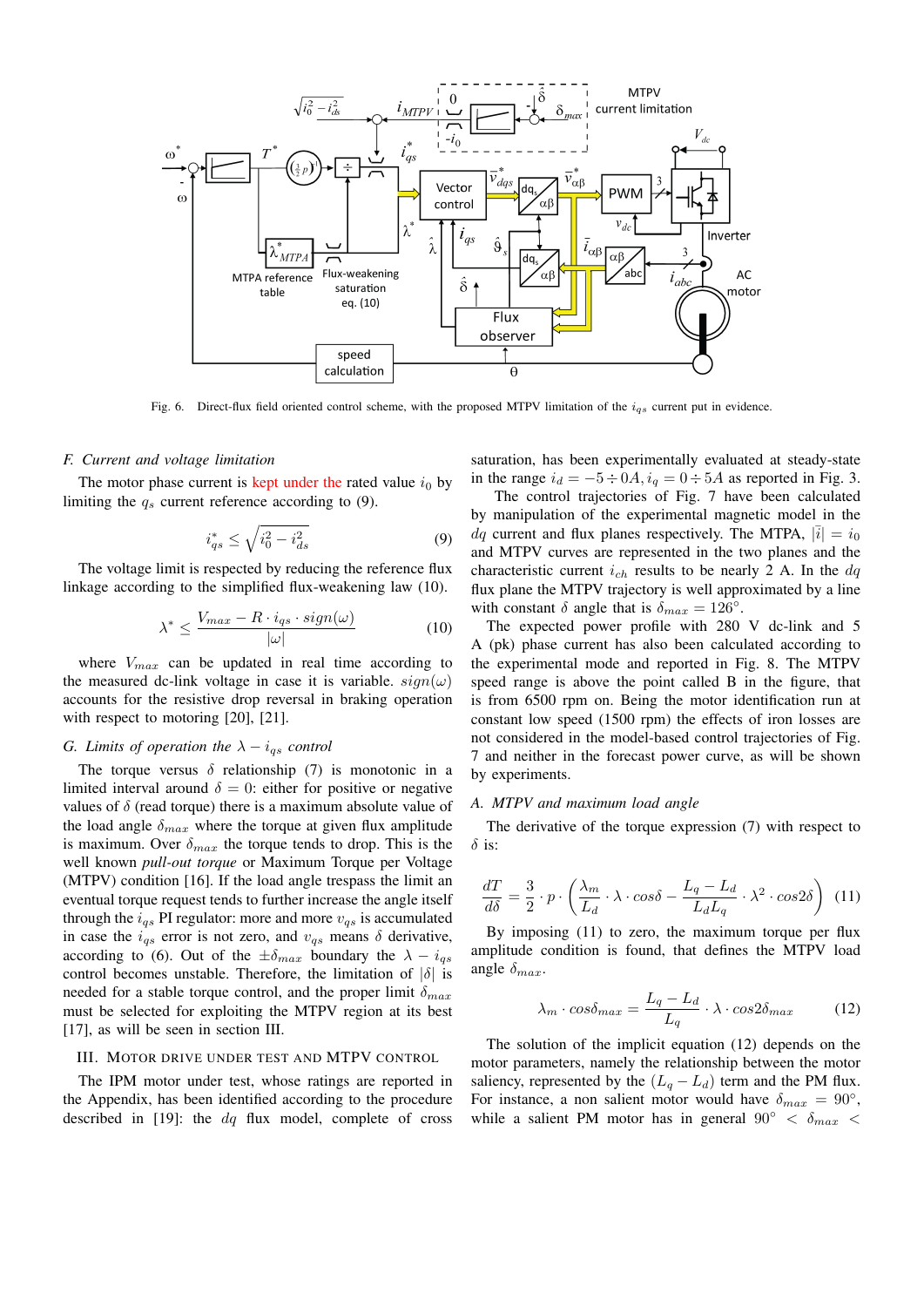

Fig. 6. Direct-flux field oriented control scheme, with the proposed MTPV limitation of the  $i_{qs}$  current put in evidence.

#### *F. Current and voltage limitation*

The motor phase current is kept under the rated value  $i_0$  by limiting the  $q_s$  current reference according to (9).

$$
i_{qs}^* \le \sqrt{i_0^2 - i_{ds}^2} \tag{9}
$$

The voltage limit is respected by reducing the reference flux linkage according to the simplified flux-weakening law (10).

$$
\lambda^* \le \frac{V_{max} - R \cdot i_{qs} \cdot sign(\omega)}{|\omega|} \tag{10}
$$

where  $V_{max}$  can be updated in real time according to the measured dc-link voltage in case it is variable.  $sign(\omega)$ accounts for the resistive drop reversal in braking operation with respect to motoring [20], [21].

# *G. Limits of operation the*  $\lambda - i_{qs}$  *control*

The torque versus  $\delta$  relationship (7) is monotonic in a limited interval around  $\delta = 0$ : either for positive or negative values of  $\delta$  (read torque) there is a maximum absolute value of the load angle  $\delta_{max}$  where the torque at given flux amplitude is maximum. Over  $\delta_{max}$  the torque tends to drop. This is the well known *pull-out torque* or Maximum Torque per Voltage (MTPV) condition [16]. If the load angle trespass the limit an eventual torque request tends to further increase the angle itself through the  $i_{qs}$  PI regulator: more and more  $v_{qs}$  is accumulated in case the  $i_{qs}$  error is not zero, and  $v_{qs}$  means  $\delta$  derivative, according to (6). Out of the  $\pm \delta_{max}$  boundary the  $\lambda - i_{qs}$ control becomes unstable. Therefore, the limitation of  $|\delta|$  is needed for a stable torque control, and the proper limit  $\delta_{max}$ must be selected for exploiting the MTPV region at its best [17], as will be seen in section III.

#### III. MOTOR DRIVE UNDER TEST AND MTPV CONTROL

The IPM motor under test, whose ratings are reported in the Appendix, has been identified according to the procedure described in [19]: the  $dq$  flux model, complete of cross saturation, has been experimentally evaluated at steady-state in the range  $i_d = -5 \div 0A$ ,  $i_q = 0 \div 5A$  as reported in Fig. 3.

The control trajectories of Fig. 7 have been calculated by manipulation of the experimental magnetic model in the  $dq$  current and flux planes respectively. The MTPA,  $|\bar{i}| = i_0$ and MTPV curves are represented in the two planes and the characteristic current  $i_{ch}$  results to be nearly 2 A. In the  $dq$ flux plane the MTPV trajectory is well approximated by a line with constant  $\delta$  angle that is  $\delta_{max} = 126^{\circ}$ .

The expected power profile with 280 V dc-link and 5 A (pk) phase current has also been calculated according to the experimental mode and reported in Fig. 8. The MTPV speed range is above the point called B in the figure, that is from 6500 rpm on. Being the motor identification run at constant low speed (1500 rpm) the effects of iron losses are not considered in the model-based control trajectories of Fig. 7 and neither in the forecast power curve, as will be shown by experiments.

#### *A. MTPV and maximum load angle*

The derivative of the torque expression (7) with respect to  $\delta$  is:

$$
\frac{dT}{d\delta} = \frac{3}{2} \cdot p \cdot \left(\frac{\lambda_m}{L_d} \cdot \lambda \cdot \cos\delta - \frac{L_q - L_d}{L_d L_q} \cdot \lambda^2 \cdot \cos 2\delta\right) \tag{11}
$$

By imposing (11) to zero, the maximum torque per flux amplitude condition is found, that defines the MTPV load angle  $\delta_{max}$ 

$$
\lambda_m \cdot \cos \delta_{max} = \frac{L_q - L_d}{L_q} \cdot \lambda \cdot \cos 2\delta_{max} \tag{12}
$$

The solution of the implicit equation (12) depends on the motor parameters, namely the relationship between the motor saliency, represented by the  $(L_q - L_d)$  term and the PM flux. For instance, a non salient motor would have  $\delta_{max} = 90^{\circ}$ , while a salient PM motor has in general 90°  $\langle \delta_{max} \rangle$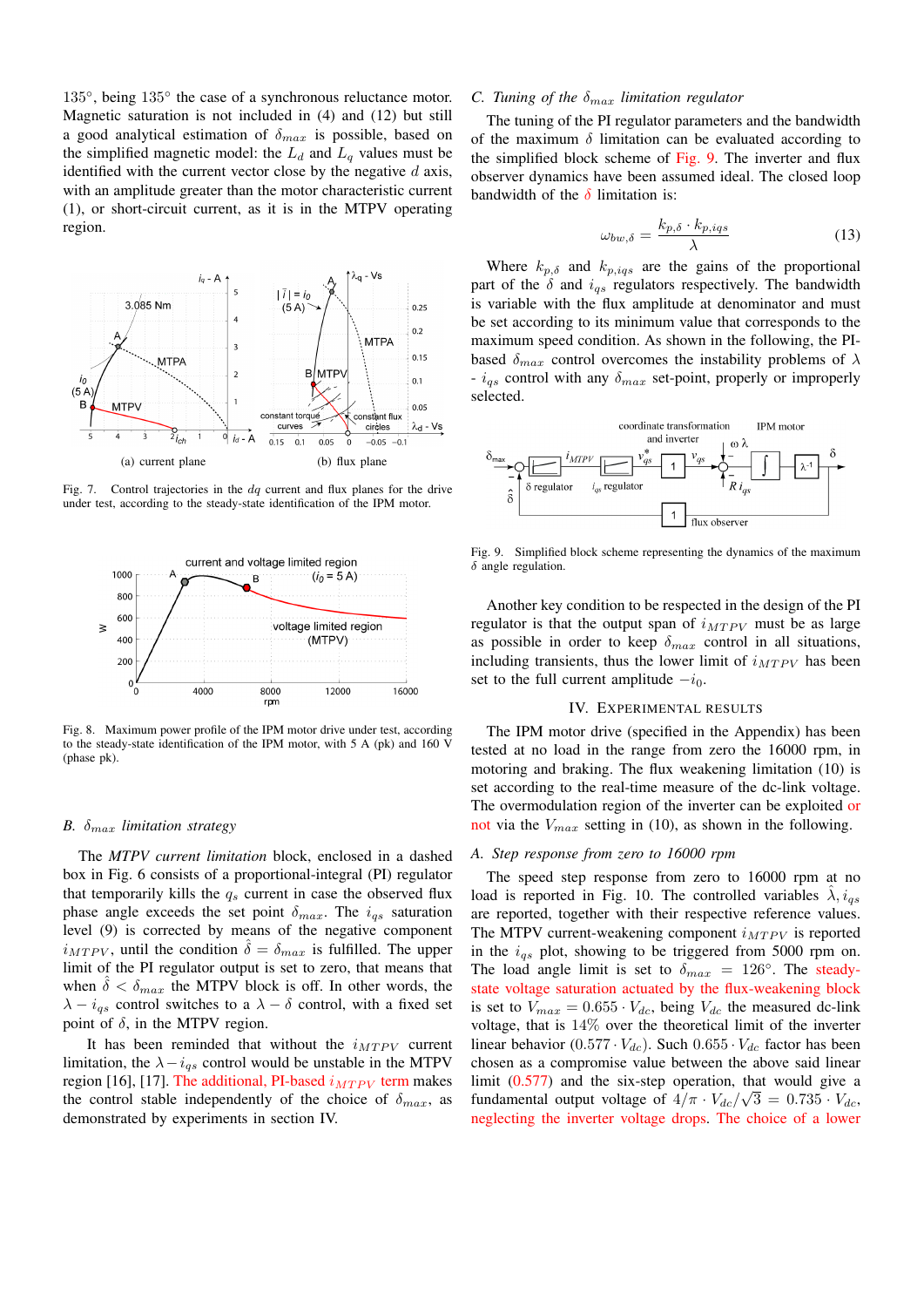135°, being 135° the case of a synchronous reluctance motor. Magnetic saturation is not included in (4) and (12) but still a good analytical estimation of  $\delta_{max}$  is possible, based on the simplified magnetic model: the  $L_d$  and  $L_q$  values must be identified with the current vector close by the negative  $d$  axis, with an amplitude greater than the motor characteristic current (1), or short-circuit current, as it is in the MTPV operating region.



Fig. 7. Control trajectories in the  $dq$  current and flux planes for the drive under test, according to the steady-state identification of the IPM motor.



Fig. 8. Maximum power profile of the IPM motor drive under test, according to the steady-state identification of the IPM motor, with 5 A (pk) and 160 V (phase pk).

#### *B.*  $\delta_{max}$  *limitation strategy*

The *MTPV current limitation* block, enclosed in a dashed box in Fig. 6 consists of a proportional-integral (PI) regulator that temporarily kills the  $q_s$  current in case the observed flux phase angle exceeds the set point  $\delta_{max}$ . The  $i_{qs}$  saturation level (9) is corrected by means of the negative component  $i_{MTPV}$ , until the condition  $\delta = \delta_{max}$  is fulfilled. The upper limit of the PI regulator output is set to zero, that means that when  $\delta < \delta_{max}$  the MTPV block is off. In other words, the  $\lambda - i_{qs}$  control switches to a  $\lambda - \delta$  control, with a fixed set point of  $\delta$ , in the MTPV region.

It has been reminded that without the  $i_{MTPV}$  current limitation, the  $\lambda - i_{as}$  control would be unstable in the MTPV region [16], [17]. The additional, PI-based  $i_{MTPV}$  term makes the control stable independently of the choice of  $\delta_{max}$ , as demonstrated by experiments in section IV.

# *C. Tuning of the* δmax *limitation regulator*

The tuning of the PI regulator parameters and the bandwidth of the maximum  $\delta$  limitation can be evaluated according to the simplified block scheme of Fig. 9. The inverter and flux observer dynamics have been assumed ideal. The closed loop bandwidth of the  $\delta$  limitation is:

$$
\omega_{bw,\delta} = \frac{k_{p,\delta} \cdot k_{p,igs}}{\lambda} \tag{13}
$$

Where  $k_{p,\delta}$  and  $k_{p,igs}$  are the gains of the proportional part of the  $\delta$  and  $i_{qs}$  regulators respectively. The bandwidth is variable with the flux amplitude at denominator and must be set according to its minimum value that corresponds to the maximum speed condition. As shown in the following, the PIbased  $\delta_{max}$  control overcomes the instability problems of  $\lambda$ -  $i_{qs}$  control with any  $\delta_{max}$  set-point, properly or improperly selected.



Fig. 9. Simplified block scheme representing the dynamics of the maximum  $\delta$  angle regulation.

Another key condition to be respected in the design of the PI regulator is that the output span of  $i_{MTPV}$  must be as large as possible in order to keep  $\delta_{max}$  control in all situations, including transients, thus the lower limit of  $i_{MTPV}$  has been set to the full current amplitude  $-i<sub>0</sub>$ .

#### IV. EXPERIMENTAL RESULTS

The IPM motor drive (specified in the Appendix) has been tested at no load in the range from zero the 16000 rpm, in motoring and braking. The flux weakening limitation (10) is set according to the real-time measure of the dc-link voltage. The overmodulation region of the inverter can be exploited or not via the  $V_{max}$  setting in (10), as shown in the following.

#### *A. Step response from zero to 16000 rpm*

The speed step response from zero to 16000 rpm at no load is reported in Fig. 10. The controlled variables  $\hat{\lambda}$ ,  $i_{qs}$ are reported, together with their respective reference values. The MTPV current-weakening component  $i_{MTPV}$  is reported in the  $i_{qs}$  plot, showing to be triggered from 5000 rpm on. The load angle limit is set to  $\delta_{max} = 126^\circ$ . The steadystate voltage saturation actuated by the flux-weakening block is set to  $V_{max} = 0.655 \cdot V_{dc}$ , being  $V_{dc}$  the measured dc-link voltage, that is 14% over the theoretical limit of the inverter linear behavior  $(0.577 \cdot V_{dc})$ . Such  $0.655 \cdot V_{dc}$  factor has been chosen as a compromise value between the above said linear limit (0.577) and the six-step operation, that would give a fundamental output voltage of  $4/\pi \cdot V_{dc}/\sqrt{3} = 0.735 \cdot V_{dc}$ , neglecting the inverter voltage drops. The choice of a lower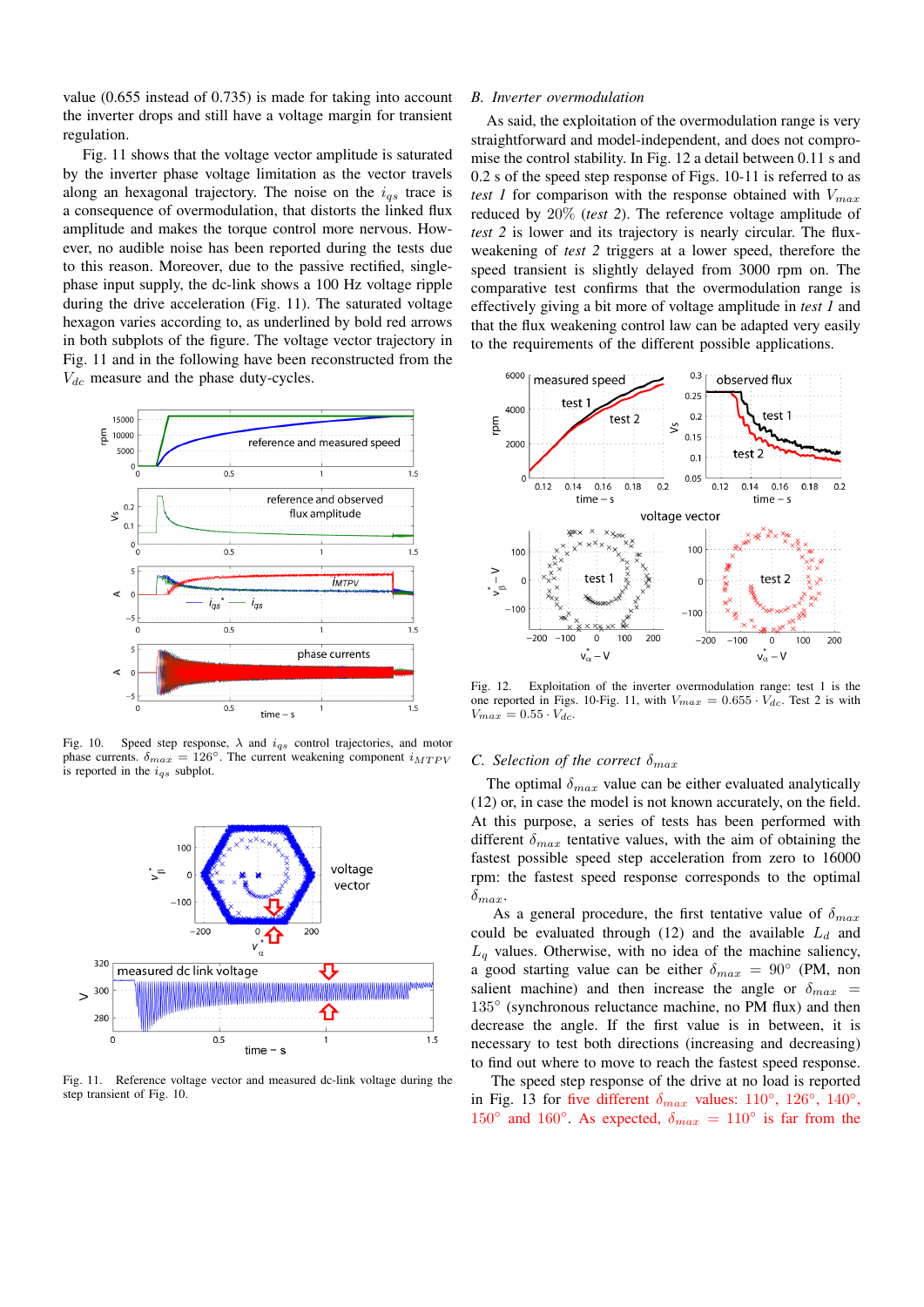value (0.655 instead of 0.735) is made for taking into account the inverter drops and still have a voltage margin for transient regulation.

Fig. 11 shows that the voltage vector amplitude is saturated by the inverter phase voltage limitation as the vector travels along an hexagonal trajectory. The noise on the  $i_{qs}$  trace is a consequence of overmodulation, that distorts the linked flux amplitude and makes the torque control more nervous. However, no audible noise has been reported during the tests due to this reason. Moreover, due to the passive rectified, singlephase input supply, the dc-link shows a 100 Hz voltage ripple during the drive acceleration (Fig. 11). The saturated voltage hexagon varies according to, as underlined by bold red arrows in both subplots of the figure. The voltage vector trajectory in Fig. 11 and in the following have been reconstructed from the  $V_{dc}$  measure and the phase duty-cycles.



Fig. 10. Speed step response,  $\lambda$  and  $i_{qs}$  control trajectories, and motor phase currents.  $\delta_{max} = 126^\circ$ . The current weakening component  $i_{MTPV}$ is reported in the  $i_{qs}$  subplot.



Fig. 11. Reference voltage vector and measured dc-link voltage during the step transient of Fig. 10.

### *B. Inverter overmodulation*

As said, the exploitation of the overmodulation range is very straightforward and model-independent, and does not compromise the control stability. In Fig. 12 a detail between 0.11 s and 0.2 s of the speed step response of Figs. 10-11 is referred to as *test 1* for comparison with the response obtained with  $V_{max}$ reduced by 20% (*test 2*). The reference voltage amplitude of *test 2* is lower and its trajectory is nearly circular. The fluxweakening of *test 2* triggers at a lower speed, therefore the speed transient is slightly delayed from 3000 rpm on. The comparative test confirms that the overmodulation range is effectively giving a bit more of voltage amplitude in *test 1* and that the flux weakening control law can be adapted very easily to the requirements of the different possible applications.



Fig. 12. Exploitation of the inverter overmodulation range: test 1 is the one reported in Figs. 10-Fig. 11, with  $V_{max} = 0.655 \cdot V_{dc}$ . Test 2 is with  $V_{max} = 0.55 \cdot V_{dc}.$ 

# *C. Selection of the correct*  $\delta_{max}$

The optimal  $\delta_{max}$  value can be either evaluated analytically (12) or, in case the model is not known accurately, on the field. At this purpose, a series of tests has been performed with different  $\delta_{max}$  tentative values, with the aim of obtaining the fastest possible speed step acceleration from zero to 16000 rpm: the fastest speed response corresponds to the optimal  $\delta_{max}$ .

As a general procedure, the first tentative value of  $\delta_{max}$ could be evaluated through (12) and the available  $L_d$  and  $L_q$  values. Otherwise, with no idea of the machine saliency, a good starting value can be either  $\delta_{max} = 90^{\circ}$  (PM, non salient machine) and then increase the angle or  $\delta_{max}$  = 135° (synchronous reluctance machine, no PM flux) and then decrease the angle. If the first value is in between, it is necessary to test both directions (increasing and decreasing) to find out where to move to reach the fastest speed response.

The speed step response of the drive at no load is reported in Fig. 13 for five different  $\delta_{max}$  values: 110°, 126°, 140°, 150° and 160°. As expected,  $\delta_{max} = 110$ ° is far from the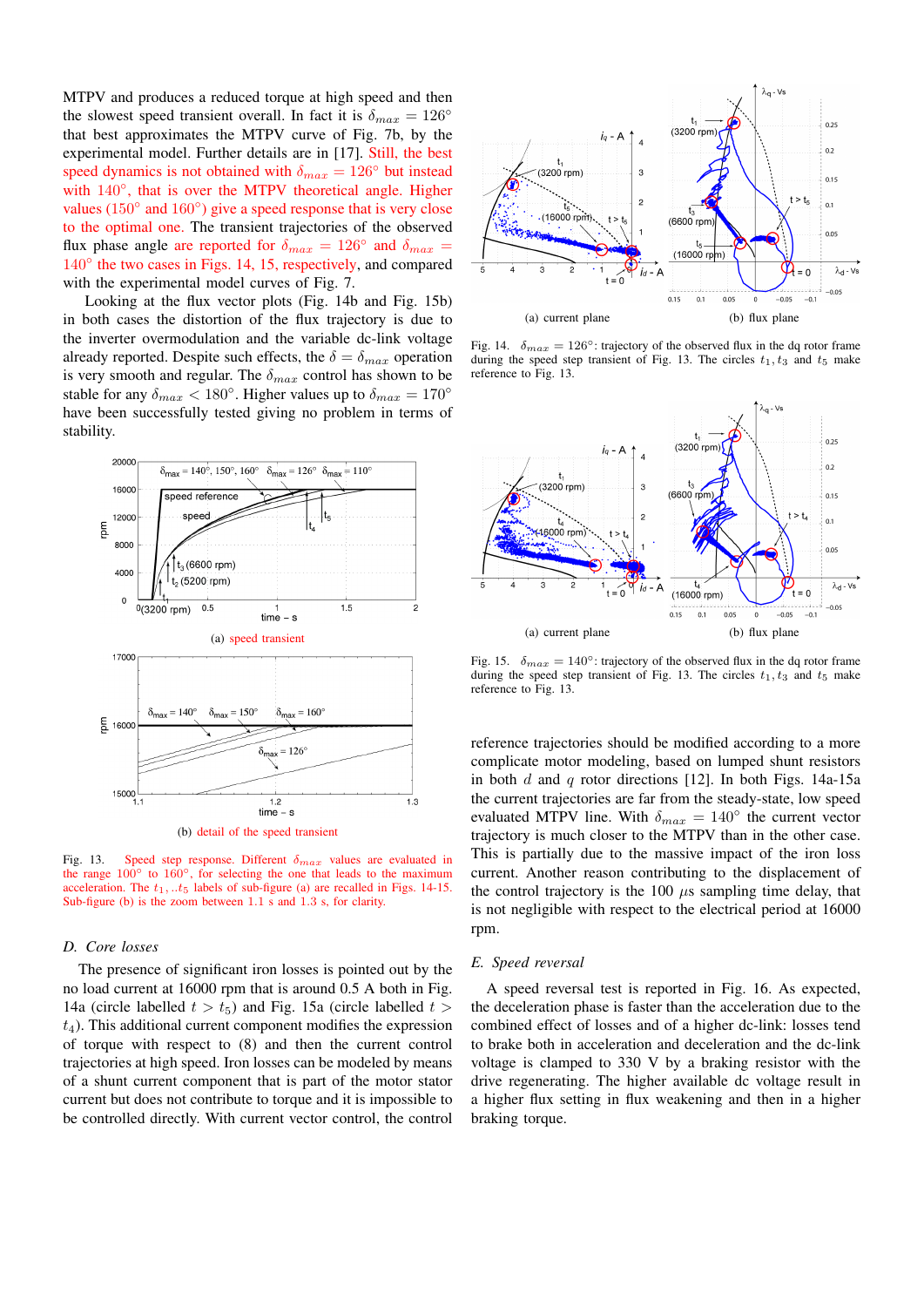MTPV and produces a reduced torque at high speed and then the slowest speed transient overall. In fact it is  $\delta_{max} = 126^{\circ}$ that best approximates the MTPV curve of Fig. 7b, by the experimental model. Further details are in [17]. Still, the best speed dynamics is not obtained with  $\delta_{max} = 126°$  but instead with 140°, that is over the MTPV theoretical angle. Higher values (150° and 160°) give a speed response that is very close to the optimal one. The transient trajectories of the observed flux phase angle are reported for  $\delta_{max} = 126^{\circ}$  and  $\delta_{max} =$ 140<sup>°</sup> the two cases in Figs. 14, 15, respectively, and compared with the experimental model curves of Fig. 7.

Looking at the flux vector plots (Fig. 14b and Fig. 15b) in both cases the distortion of the flux trajectory is due to the inverter overmodulation and the variable dc-link voltage already reported. Despite such effects, the  $\delta = \delta_{max}$  operation is very smooth and regular. The  $\delta_{max}$  control has shown to be stable for any  $\delta_{max} < 180^\circ$ . Higher values up to  $\delta_{max} = 170^\circ$ have been successfully tested giving no problem in terms of stability.



(b) detail of the speed transient

Fig. 13. Speed step response. Different  $\delta_{max}$  values are evaluated in the range  $100°$  to  $160°$ , for selecting the one that leads to the maximum acceleration. The  $t_1, ...t_5$  labels of sub-figure (a) are recalled in Figs. 14-15. Sub-figure (b) is the zoom between 1.1 s and 1.3 s, for clarity.

#### *D. Core losses*

The presence of significant iron losses is pointed out by the no load current at 16000 rpm that is around 0.5 A both in Fig. 14a (circle labelled  $t > t_5$ ) and Fig. 15a (circle labelled  $t >$  $t<sub>4</sub>$ ). This additional current component modifies the expression of torque with respect to (8) and then the current control trajectories at high speed. Iron losses can be modeled by means of a shunt current component that is part of the motor stator current but does not contribute to torque and it is impossible to be controlled directly. With current vector control, the control



Fig. 14.  $\delta_{max} = 126^\circ$ : trajectory of the observed flux in the dq rotor frame during the speed step transient of Fig. 13. The circles  $t_1, t_3$  and  $t_5$  make reference to Fig. 13.



Fig. 15.  $\delta_{max} = 140^\circ$ : trajectory of the observed flux in the dq rotor frame during the speed step transient of Fig. 13. The circles  $t_1, t_3$  and  $t_5$  make reference to Fig. 13.

reference trajectories should be modified according to a more complicate motor modeling, based on lumped shunt resistors in both d and q rotor directions [12]. In both Figs. 14a-15a the current trajectories are far from the steady-state, low speed evaluated MTPV line. With  $\delta_{max} = 140^{\circ}$  the current vector trajectory is much closer to the MTPV than in the other case. This is partially due to the massive impact of the iron loss current. Another reason contributing to the displacement of the control trajectory is the 100  $\mu$ s sampling time delay, that is not negligible with respect to the electrical period at 16000 rpm.

# *E. Speed reversal*

A speed reversal test is reported in Fig. 16. As expected, the deceleration phase is faster than the acceleration due to the combined effect of losses and of a higher dc-link: losses tend to brake both in acceleration and deceleration and the dc-link voltage is clamped to 330 V by a braking resistor with the drive regenerating. The higher available dc voltage result in a higher flux setting in flux weakening and then in a higher braking torque.